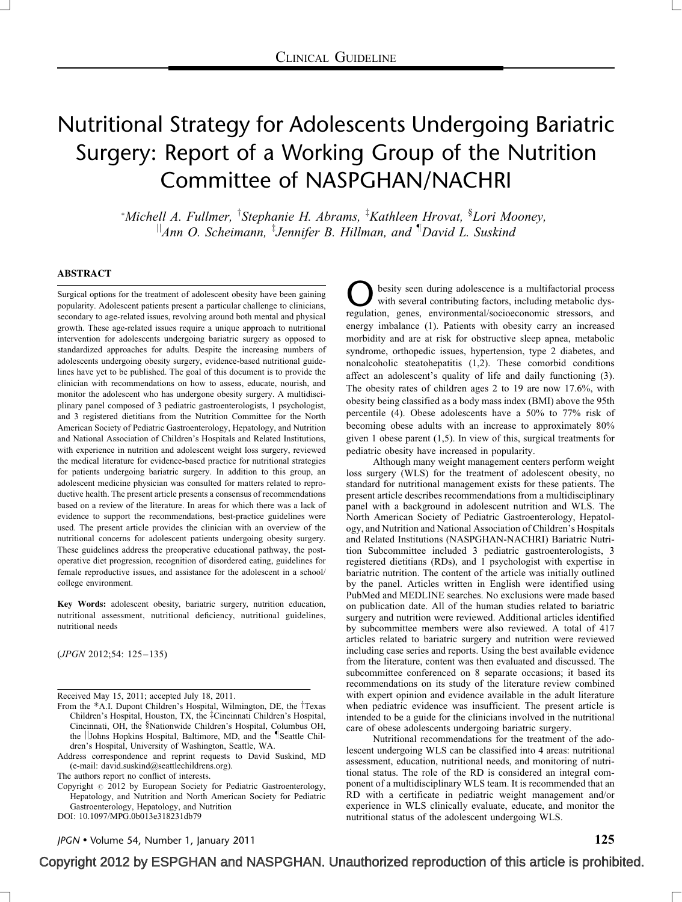# Nutritional Strategy for Adolescents Undergoing Bariatric Surgery: Report of a Working Group of the Nutrition Committee of NASPGHAN/NACHRI

\*Michell A. Fullmer, <sup>†</sup>Stephanie H. Abrams, <sup>‡</sup>Kathleen Hrovat, <sup>§</sup>Lori Mooney,  $\mathbb{I}_{Ann}$  O. Scheimann,  $\mathbb{I}_{Jan}$  Jennifer B. Hillman, and  $\mathbb{I}_{David}$  L. Suskind

#### ABSTRACT

Surgical options for the treatment of adolescent obesity have been gaining popularity. Adolescent patients present a particular challenge to clinicians, secondary to age-related issues, revolving around both mental and physical growth. These age-related issues require a unique approach to nutritional intervention for adolescents undergoing bariatric surgery as opposed to standardized approaches for adults. Despite the increasing numbers of adolescents undergoing obesity surgery, evidence-based nutritional guidelines have yet to be published. The goal of this document is to provide the clinician with recommendations on how to assess, educate, nourish, and monitor the adolescent who has undergone obesity surgery. A multidisciplinary panel composed of 3 pediatric gastroenterologists, 1 psychologist, and 3 registered dietitians from the Nutrition Committee for the North American Society of Pediatric Gastroenterology, Hepatology, and Nutrition and National Association of Children's Hospitals and Related Institutions, with experience in nutrition and adolescent weight loss surgery, reviewed the medical literature for evidence-based practice for nutritional strategies for patients undergoing bariatric surgery. In addition to this group, an adolescent medicine physician was consulted for matters related to reproductive health. The present article presents a consensus of recommendations based on a review of the literature. In areas for which there was a lack of evidence to support the recommendations, best-practice guidelines were used. The present article provides the clinician with an overview of the nutritional concerns for adolescent patients undergoing obesity surgery. These guidelines address the preoperative educational pathway, the postoperative diet progression, recognition of disordered eating, guidelines for female reproductive issues, and assistance for the adolescent in a school/ college environment.

Key Words: adolescent obesity, bariatric surgery, nutrition education, nutritional assessment, nutritional deficiency, nutritional guidelines, nutritional needs

(JPGN 2012;54: 125–135)

Received May 15, 2011; accepted July 18, 2011.

- From the \*A.I. Dupont Children's Hospital, Wilmington, DE, the Texas Children's Hospital, Houston, TX, the <sup>‡</sup>Cincinnati Children's Hospital, Cincinnati, OH, the §Nationwide Children's Hospital, Columbus OH, the ||Johns Hopkins Hospital, Baltimore, MD, and the <sup>¶</sup>Seattle Children's Hospital, University of Washington, Seattle, WA.
- Address correspondence and reprint requests to David Suskind, MD (e-mail: [david.suskind@seattlechildrens.org](mailto:david.suskind@seattlechildrens.org)).

The authors report no conflict of interests.

DOI: [10.1097/MPG.0b013e318231db79](http://dx.doi.org/10.1097/MPG.0b013e318231db79)

besity seen during adolescence is a multifactorial process with several contributing factors, including metabolic dysregulation, genes, environmental/socioeconomic stressors, and energy imbalance [\(1\).](#page-8-0) Patients with obesity carry an increased morbidity and are at risk for obstructive sleep apnea, metabolic syndrome, orthopedic issues, hypertension, type 2 diabetes, and nonalcoholic steatohepatitis [\(1,2\)](#page-8-0). These comorbid conditions affect an adolescent's quality of life and daily functioning [\(3\).](#page-8-0) The obesity rates of children ages 2 to 19 are now 17.6%, with obesity being classified as a body mass index (BMI) above the 95th percentile [\(4\).](#page-8-0) Obese adolescents have a 50% to 77% risk of becoming obese adults with an increase to approximately 80% given 1 obese parent [\(1,5\).](#page-8-0) In view of this, surgical treatments for pediatric obesity have increased in popularity.

Although many weight management centers perform weight loss surgery (WLS) for the treatment of adolescent obesity, no standard for nutritional management exists for these patients. The present article describes recommendations from a multidisciplinary panel with a background in adolescent nutrition and WLS. The North American Society of Pediatric Gastroenterology, Hepatology, and Nutrition and National Association of Children's Hospitals and Related Institutions (NASPGHAN-NACHRI) Bariatric Nutrition Subcommittee included 3 pediatric gastroenterologists, 3 registered dietitians (RDs), and 1 psychologist with expertise in bariatric nutrition. The content of the article was initially outlined by the panel. Articles written in English were identified using PubMed and MEDLINE searches. No exclusions were made based on publication date. All of the human studies related to bariatric surgery and nutrition were reviewed. Additional articles identified by subcommittee members were also reviewed. A total of 417 articles related to bariatric surgery and nutrition were reviewed including case series and reports. Using the best available evidence from the literature, content was then evaluated and discussed. The subcommittee conferenced on 8 separate occasions; it based its recommendations on its study of the literature review combined with expert opinion and evidence available in the adult literature when pediatric evidence was insufficient. The present article is intended to be a guide for the clinicians involved in the nutritional care of obese adolescents undergoing bariatric surgery.

Nutritional recommendations for the treatment of the adolescent undergoing WLS can be classified into 4 areas: nutritional assessment, education, nutritional needs, and monitoring of nutritional status. The role of the RD is considered an integral component of a multidisciplinary WLS team. It is recommended that an RD with a certificate in pediatric weight management and/or experience in WLS clinically evaluate, educate, and monitor the nutritional status of the adolescent undergoing WLS.

Copyright  $\circ$  2012 by European Society for Pediatric Gastroenterology, Hepatology, and Nutrition and North American Society for Pediatric Gastroenterology, Hepatology, and Nutrition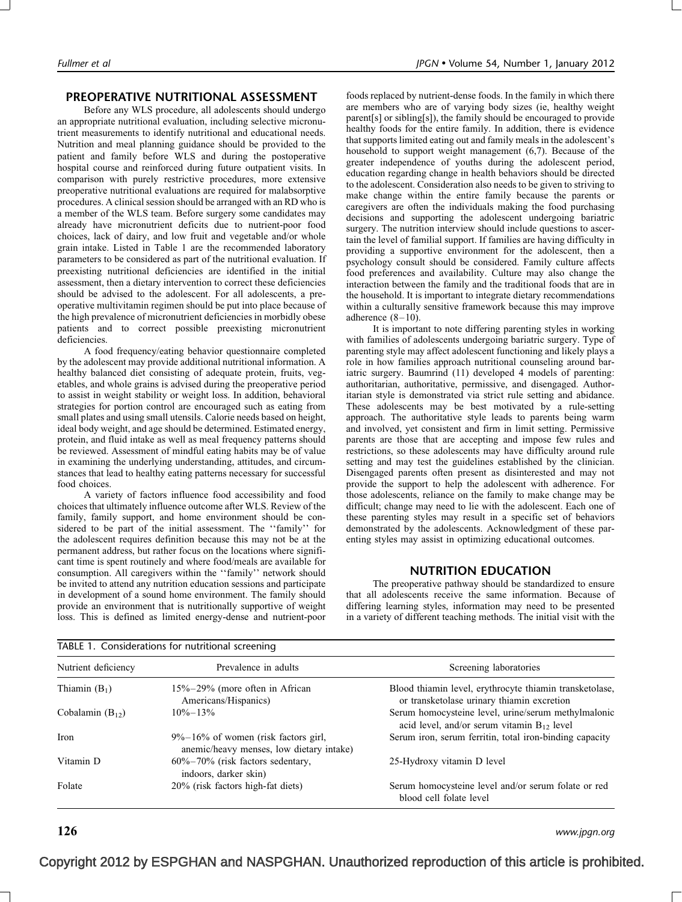### PREOPERATIVE NUTRITIONAL ASSESSMENT

Before any WLS procedure, all adolescents should undergo an appropriate nutritional evaluation, including selective micronutrient measurements to identify nutritional and educational needs. Nutrition and meal planning guidance should be provided to the patient and family before WLS and during the postoperative hospital course and reinforced during future outpatient visits. In comparison with purely restrictive procedures, more extensive preoperative nutritional evaluations are required for malabsorptive procedures. A clinical session should be arranged with an RD who is a member of the WLS team. Before surgery some candidates may already have micronutrient deficits due to nutrient-poor food choices, lack of dairy, and low fruit and vegetable and/or whole grain intake. Listed in Table 1 are the recommended laboratory parameters to be considered as part of the nutritional evaluation. If preexisting nutritional deficiencies are identified in the initial assessment, then a dietary intervention to correct these deficiencies should be advised to the adolescent. For all adolescents, a preoperative multivitamin regimen should be put into place because of the high prevalence of micronutrient deficiencies in morbidly obese patients and to correct possible preexisting micronutrient deficiencies.

A food frequency/eating behavior questionnaire completed by the adolescent may provide additional nutritional information. A healthy balanced diet consisting of adequate protein, fruits, vegetables, and whole grains is advised during the preoperative period to assist in weight stability or weight loss. In addition, behavioral strategies for portion control are encouraged such as eating from small plates and using small utensils. Calorie needs based on height, ideal body weight, and age should be determined. Estimated energy, protein, and fluid intake as well as meal frequency patterns should be reviewed. Assessment of mindful eating habits may be of value in examining the underlying understanding, attitudes, and circumstances that lead to healthy eating patterns necessary for successful food choices.

A variety of factors influence food accessibility and food choices that ultimately influence outcome after WLS. Review of the family, family support, and home environment should be considered to be part of the initial assessment. The ''family'' for the adolescent requires definition because this may not be at the permanent address, but rather focus on the locations where significant time is spent routinely and where food/meals are available for consumption. All caregivers within the ''family'' network should be invited to attend any nutrition education sessions and participate in development of a sound home environment. The family should provide an environment that is nutritionally supportive of weight loss. This is defined as limited energy-dense and nutrient-poor

foods replaced by nutrient-dense foods. In the family in which there are members who are of varying body sizes (ie, healthy weight parent[s] or sibling[s]), the family should be encouraged to provide healthy foods for the entire family. In addition, there is evidence that supports limited eating out and family meals in the adolescent's household to support weight management [\(6,7\).](#page-8-0) Because of the greater independence of youths during the adolescent period, education regarding change in health behaviors should be directed to the adolescent. Consideration also needs to be given to striving to make change within the entire family because the parents or caregivers are often the individuals making the food purchasing decisions and supporting the adolescent undergoing bariatric surgery. The nutrition interview should include questions to ascertain the level of familial support. If families are having difficulty in providing a supportive environment for the adolescent, then a psychology consult should be considered. Family culture affects food preferences and availability. Culture may also change the interaction between the family and the traditional foods that are in the household. It is important to integrate dietary recommendations within a culturally sensitive framework because this may improve adherence  $(8-10)$ .

It is important to note differing parenting styles in working with families of adolescents undergoing bariatric surgery. Type of parenting style may affect adolescent functioning and likely plays a role in how families approach nutritional counseling around bariatric surgery. Baumrind [\(11\)](#page-9-0) developed 4 models of parenting: authoritarian, authoritative, permissive, and disengaged. Authoritarian style is demonstrated via strict rule setting and abidance. These adolescents may be best motivated by a rule-setting approach. The authoritative style leads to parents being warm and involved, yet consistent and firm in limit setting. Permissive parents are those that are accepting and impose few rules and restrictions, so these adolescents may have difficulty around rule setting and may test the guidelines established by the clinician. Disengaged parents often present as disinterested and may not provide the support to help the adolescent with adherence. For those adolescents, reliance on the family to make change may be difficult; change may need to lie with the adolescent. Each one of these parenting styles may result in a specific set of behaviors demonstrated by the adolescents. Acknowledgment of these parenting styles may assist in optimizing educational outcomes.

#### NUTRITION EDUCATION

The preoperative pathway should be standardized to ensure that all adolescents receive the same information. Because of differing learning styles, information may need to be presented in a variety of different teaching methods. The initial visit with the

| TABLE 1. Considerations for nutritional screening |                                                                                       |                                                                                                        |  |  |  |  |  |
|---------------------------------------------------|---------------------------------------------------------------------------------------|--------------------------------------------------------------------------------------------------------|--|--|--|--|--|
| Nutrient deficiency                               | Prevalence in adults                                                                  | Screening laboratories                                                                                 |  |  |  |  |  |
| Thiamin $(B_1)$                                   | $15\% - 29\%$ (more often in African<br>Americans/Hispanics)                          | Blood thiamin level, erythrocyte thiamin transketolase,<br>or transketolase urinary thiamin excretion  |  |  |  |  |  |
| Cobalamin $(B_{12})$                              | $10\% - 13\%$                                                                         | Serum homocysteine level, urine/serum methylmalonic<br>acid level, and/or serum vitamin $B_{12}$ level |  |  |  |  |  |
| Iron                                              | $9\% - 16\%$ of women (risk factors girl,<br>anemic/heavy menses, low dietary intake) | Serum iron, serum ferritin, total iron-binding capacity                                                |  |  |  |  |  |
| Vitamin D                                         | $60\% - 70\%$ (risk factors sedentary,<br>indoors, darker skin)                       | 25-Hydroxy vitamin D level                                                                             |  |  |  |  |  |
| Folate                                            | 20% (risk factors high-fat diets)                                                     | Serum homocysteine level and/or serum folate or red<br>blood cell folate level                         |  |  |  |  |  |

 $126 \,$  www.jpgn.org www.jpgn.org www.jpgn.org www.jpgn.org www.jpgn.org  $\,$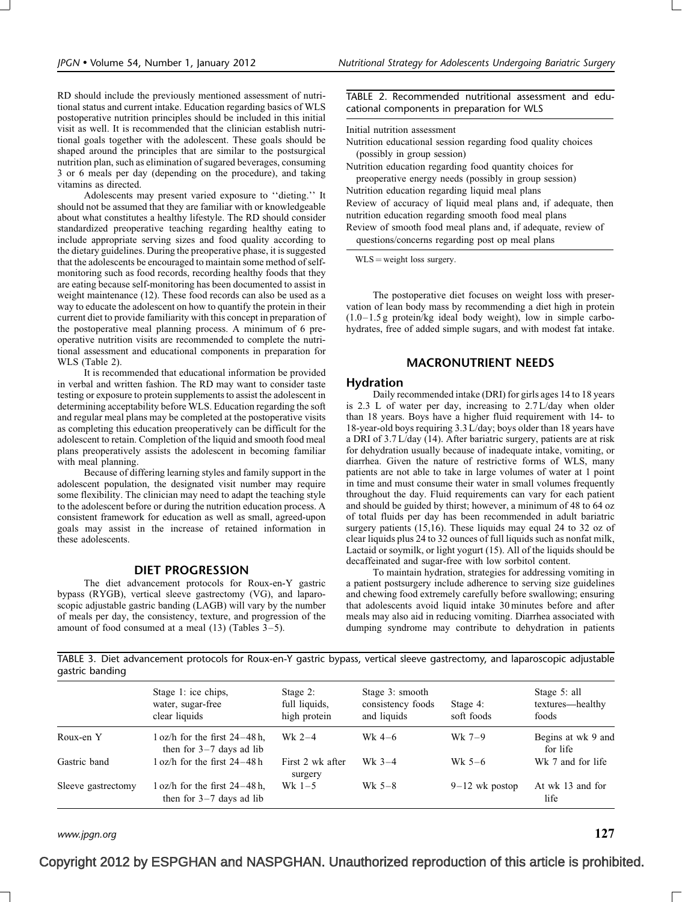RD should include the previously mentioned assessment of nutritional status and current intake. Education regarding basics of WLS postoperative nutrition principles should be included in this initial visit as well. It is recommended that the clinician establish nutritional goals together with the adolescent. These goals should be shaped around the principles that are similar to the postsurgical nutrition plan, such as elimination of sugared beverages, consuming 3 or 6 meals per day (depending on the procedure), and taking vitamins as directed.

Adolescents may present varied exposure to ''dieting.'' It should not be assumed that they are familiar with or knowledgeable about what constitutes a healthy lifestyle. The RD should consider standardized preoperative teaching regarding healthy eating to include appropriate serving sizes and food quality according to the dietary guidelines. During the preoperative phase, it is suggested that the adolescents be encouraged to maintain some method of selfmonitoring such as food records, recording healthy foods that they are eating because self-monitoring has been documented to assist in weight maintenance [\(12\).](#page-9-0) These food records can also be used as a way to educate the adolescent on how to quantify the protein in their current diet to provide familiarity with this concept in preparation of the postoperative meal planning process. A minimum of 6 preoperative nutrition visits are recommended to complete the nutritional assessment and educational components in preparation for WLS (Table 2).

It is recommended that educational information be provided in verbal and written fashion. The RD may want to consider taste testing or exposure to protein supplements to assist the adolescent in determining acceptability before WLS. Education regarding the soft and regular meal plans may be completed at the postoperative visits as completing this education preoperatively can be difficult for the adolescent to retain. Completion of the liquid and smooth food meal plans preoperatively assists the adolescent in becoming familiar with meal planning.

Because of differing learning styles and family support in the adolescent population, the designated visit number may require some flexibility. The clinician may need to adapt the teaching style to the adolescent before or during the nutrition education process. A consistent framework for education as well as small, agreed-upon goals may assist in the increase of retained information in these adolescents.

#### DIET PROGRESSION

The diet advancement protocols for Roux-en-Y gastric bypass (RYGB), vertical sleeve gastrectomy (VG), and laparoscopic adjustable gastric banding (LAGB) will vary by the number of meals per day, the consistency, texture, and progression of the amount of food consumed at a meal [\(13\)](#page-9-0) (Tables 3–5).

TABLE 2. Recommended nutritional assessment and educational components in preparation for WLS

#### Initial nutrition assessment

- Nutrition educational session regarding food quality choices (possibly in group session)
- Nutrition education regarding food quantity choices for preoperative energy needs (possibly in group session)

Nutrition education regarding liquid meal plans

Review of accuracy of liquid meal plans and, if adequate, then nutrition education regarding smooth food meal plans

Review of smooth food meal plans and, if adequate, review of questions/concerns regarding post op meal plans

 $WLS = weight loss surgery$ .

The postoperative diet focuses on weight loss with preservation of lean body mass by recommending a diet high in protein  $(1.0-1.5 g$  protein/kg ideal body weight), low in simple carbohydrates, free of added simple sugars, and with modest fat intake.

#### MACRONUTRIENT NEEDS

#### Hydration

Daily recommended intake (DRI) for girls ages 14 to 18 years is 2.3 L of water per day, increasing to 2.7 L/day when older than 18 years. Boys have a higher fluid requirement with 14- to 18-year-old boys requiring 3.3 L/day; boys older than 18 years have a DRI of 3.7 L/day [\(14\)](#page-9-0). After bariatric surgery, patients are at risk for dehydration usually because of inadequate intake, vomiting, or diarrhea. Given the nature of restrictive forms of WLS, many patients are not able to take in large volumes of water at 1 point in time and must consume their water in small volumes frequently throughout the day. Fluid requirements can vary for each patient and should be guided by thirst; however, a minimum of 48 to 64 oz of total fluids per day has been recommended in adult bariatric surgery patients [\(15,16\)](#page-9-0). These liquids may equal 24 to 32 oz of clear liquids plus 24 to 32 ounces of full liquids such as nonfat milk, Lactaid or soymilk, or light yogurt [\(15\)](#page-9-0). All of the liquids should be decaffeinated and sugar-free with low sorbitol content.

To maintain hydration, strategies for addressing vomiting in a patient postsurgery include adherence to serving size guidelines and chewing food extremely carefully before swallowing; ensuring that adolescents avoid liquid intake 30 minutes before and after meals may also aid in reducing vomiting. Diarrhea associated with dumping syndrome may contribute to dehydration in patients

TABLE 3. Diet advancement protocols for Roux-en-Y gastric bypass, vertical sleeve gastrectomy, and laparoscopic adjustable gastric banding

|                    | Stage 1: ice chips,<br>water, sugar-free<br>clear liquids        | Stage $2$ :<br>full liquids,<br>high protein | Stage 3: smooth<br>consistency foods<br>and liquids | Stage $4$ :<br>soft foods | Stage 5: all<br>textures—healthy<br>foods |  |  |
|--------------------|------------------------------------------------------------------|----------------------------------------------|-----------------------------------------------------|---------------------------|-------------------------------------------|--|--|
| Roux-en Y          | $1 oz/h$ for the first $24-48 h$ ,<br>then for $3-7$ days ad lib | Wk $2-4$                                     | Wk $4-6$                                            | Wk $7-9$                  | Begins at wk 9 and<br>for life            |  |  |
| Gastric band       | $1 oz/h$ for the first $24-48 h$                                 | First 2 wk after<br>surgery                  | Wk $3-4$                                            | Wk $5-6$                  | Wk 7 and for life                         |  |  |
| Sleeve gastrectomy | $1 oz/h$ for the first $24-48 h$ ,<br>then for $3-7$ days ad lib | $Wk 1-5$                                     | Wk $5-8$                                            | $9-12$ wk postop          | At wk 13 and for<br>life                  |  |  |

www.jpgn.org 127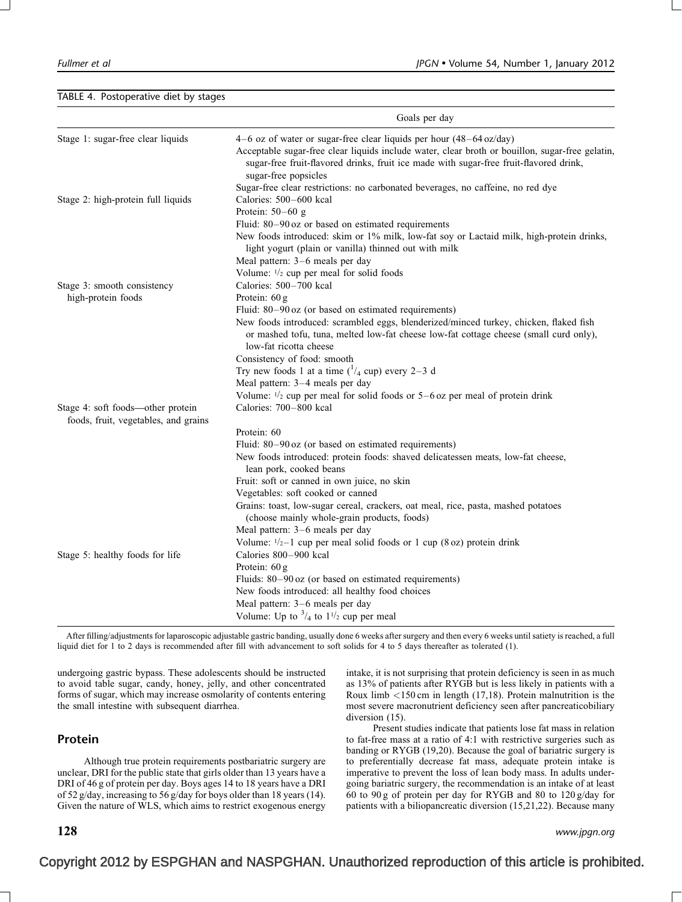|                                                                           | Goals per day                                                                                                                                                                                            |  |  |  |  |  |
|---------------------------------------------------------------------------|----------------------------------------------------------------------------------------------------------------------------------------------------------------------------------------------------------|--|--|--|--|--|
| Stage 1: sugar-free clear liquids                                         | $4-6$ oz of water or sugar-free clear liquids per hour $(48-64)$ oz/day)<br>Acceptable sugar-free clear liquids include water, clear broth or bouillon, sugar-free gelatin,                              |  |  |  |  |  |
|                                                                           | sugar-free fruit-flavored drinks, fruit ice made with sugar-free fruit-flavored drink,<br>sugar-free popsicles                                                                                           |  |  |  |  |  |
|                                                                           | Sugar-free clear restrictions: no carbonated beverages, no caffeine, no red dye                                                                                                                          |  |  |  |  |  |
| Stage 2: high-protein full liquids                                        | Calories: 500-600 kcal                                                                                                                                                                                   |  |  |  |  |  |
|                                                                           | Protein: $50-60$ g                                                                                                                                                                                       |  |  |  |  |  |
|                                                                           | Fluid: 80–90 oz or based on estimated requirements                                                                                                                                                       |  |  |  |  |  |
|                                                                           | New foods introduced: skim or 1% milk, low-fat soy or Lactaid milk, high-protein drinks,                                                                                                                 |  |  |  |  |  |
|                                                                           | light yogurt (plain or vanilla) thinned out with milk                                                                                                                                                    |  |  |  |  |  |
|                                                                           | Meal pattern: 3-6 meals per day                                                                                                                                                                          |  |  |  |  |  |
|                                                                           | Volume: $\frac{1}{2}$ cup per meal for solid foods                                                                                                                                                       |  |  |  |  |  |
| Stage 3: smooth consistency                                               | Calories: 500-700 kcal                                                                                                                                                                                   |  |  |  |  |  |
| high-protein foods                                                        | Protein: 60 g                                                                                                                                                                                            |  |  |  |  |  |
|                                                                           | Fluid: 80-90 oz (or based on estimated requirements)                                                                                                                                                     |  |  |  |  |  |
|                                                                           | New foods introduced: scrambled eggs, blenderized/minced turkey, chicken, flaked fish<br>or mashed tofu, tuna, melted low-fat cheese low-fat cottage cheese (small curd only),<br>low-fat ricotta cheese |  |  |  |  |  |
|                                                                           | Consistency of food: smooth                                                                                                                                                                              |  |  |  |  |  |
|                                                                           | Try new foods 1 at a time $\binom{1}{4}$ cup) every 2-3 d                                                                                                                                                |  |  |  |  |  |
|                                                                           | Meal pattern: 3-4 meals per day                                                                                                                                                                          |  |  |  |  |  |
|                                                                           | Volume: $\frac{1}{2}$ cup per meal for solid foods or 5–6 oz per meal of protein drink                                                                                                                   |  |  |  |  |  |
| Stage 4: soft foods-other protein<br>foods, fruit, vegetables, and grains | Calories: 700-800 kcal                                                                                                                                                                                   |  |  |  |  |  |
|                                                                           | Protein: 60                                                                                                                                                                                              |  |  |  |  |  |
|                                                                           | Fluid: 80–90 oz (or based on estimated requirements)                                                                                                                                                     |  |  |  |  |  |
|                                                                           | New foods introduced: protein foods: shaved delicatessen meats, low-fat cheese,                                                                                                                          |  |  |  |  |  |
|                                                                           | lean pork, cooked beans                                                                                                                                                                                  |  |  |  |  |  |
|                                                                           | Fruit: soft or canned in own juice, no skin                                                                                                                                                              |  |  |  |  |  |
|                                                                           | Vegetables: soft cooked or canned                                                                                                                                                                        |  |  |  |  |  |
|                                                                           | Grains: toast, low-sugar cereal, crackers, oat meal, rice, pasta, mashed potatoes<br>(choose mainly whole-grain products, foods)                                                                         |  |  |  |  |  |
|                                                                           | Meal pattern: 3-6 meals per day                                                                                                                                                                          |  |  |  |  |  |
|                                                                           | Volume: $\frac{1}{2}$ -1 cup per meal solid foods or 1 cup (8 oz) protein drink                                                                                                                          |  |  |  |  |  |
| Stage 5: healthy foods for life                                           | Calories 800-900 kcal                                                                                                                                                                                    |  |  |  |  |  |
|                                                                           | Protein: $60 g$                                                                                                                                                                                          |  |  |  |  |  |
|                                                                           | Fluids: 80-90 oz (or based on estimated requirements)                                                                                                                                                    |  |  |  |  |  |
|                                                                           | New foods introduced: all healthy food choices                                                                                                                                                           |  |  |  |  |  |
|                                                                           | Meal pattern: 3-6 meals per day                                                                                                                                                                          |  |  |  |  |  |
|                                                                           | Volume: Up to $\frac{3}{4}$ to $1\frac{1}{2}$ cup per meal                                                                                                                                               |  |  |  |  |  |

After filling/adjustments for laparoscopic adjustable gastric banding, usually done 6 weeks after surgery and then every 6 weeks until satiety is reached, a full liquid diet for 1 to 2 days is recommended after fill with advancement to soft solids for 4 to 5 days thereafter as tolerated [\(1\)](#page-8-0).

undergoing gastric bypass. These adolescents should be instructed to avoid table sugar, candy, honey, jelly, and other concentrated forms of sugar, which may increase osmolarity of contents entering the small intestine with subsequent diarrhea.

#### Protein

Although true protein requirements postbariatric surgery are unclear, DRI for the public state that girls older than 13 years have a DRI of 46 g of protein per day. Boys ages 14 to 18 years have a DRI of 52 g/day, increasing to 56 g/day for boys older than 18 years [\(14\).](#page-9-0) Given the nature of WLS, which aims to restrict exogenous energy

intake, it is not surprising that protein deficiency is seen in as much as 13% of patients after RYGB but is less likely in patients with a Roux limb <150 cm in length [\(17,18\).](#page-9-0) Protein malnutrition is the most severe macronutrient deficiency seen after pancreaticobiliary diversion  $(15)$ .

Present studies indicate that patients lose fat mass in relation to fat-free mass at a ratio of 4:1 with restrictive surgeries such as banding or RYGB [\(19,20\)](#page-9-0). Because the goal of bariatric surgery is to preferentially decrease fat mass, adequate protein intake is imperative to prevent the loss of lean body mass. In adults undergoing bariatric surgery, the recommendation is an intake of at least 60 to 90 g of protein per day for RYGB and 80 to 120 g/day for patients with a biliopancreatic diversion [\(15,21,22\).](#page-9-0) Because many

 $128$  www.jpgn.org www.jpgn.org www.jpgn.org www.jpgn.org www.jpgn.org  $\,$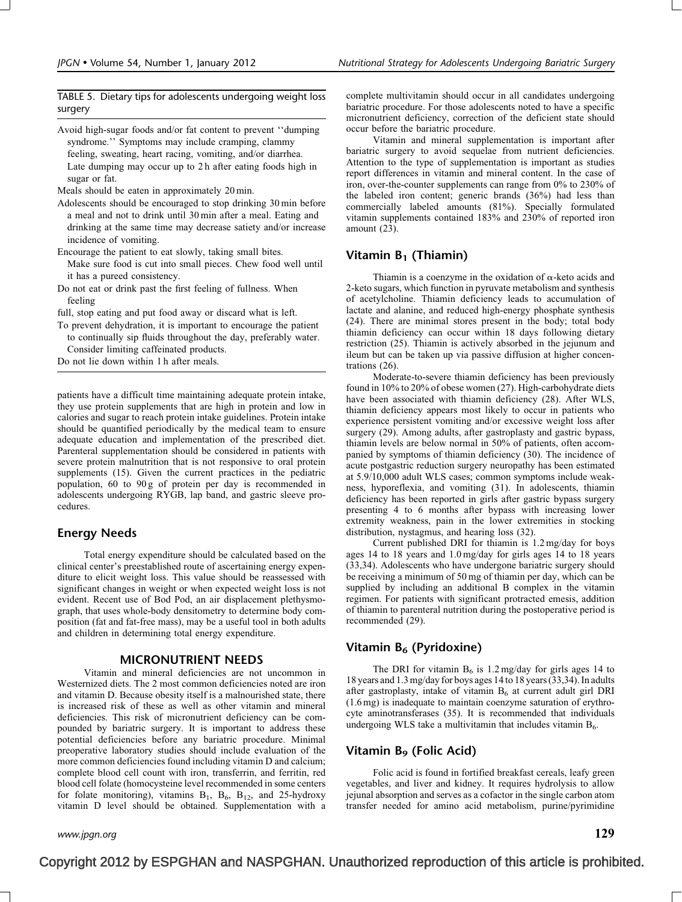#### TABLE 5. Dietary tips for adolescents undergoing weight loss surgery

Avoid high-sugar foods and/or fat content to prevent ''dumping syndrome.'' Symptoms may include cramping, clammy feeling, sweating, heart racing, vomiting, and/or diarrhea. Late dumping may occur up to 2 h after eating foods high in sugar or fat.

Meals should be eaten in approximately 20 min.

- Adolescents should be encouraged to stop drinking 30 min before a meal and not to drink until 30 min after a meal. Eating and drinking at the same time may decrease satiety and/or increase incidence of vomiting.
- Encourage the patient to eat slowly, taking small bites.
- Make sure food is cut into small pieces. Chew food well until it has a pureed consistency.
- Do not eat or drink past the first feeling of fullness. When feeling
- full, stop eating and put food away or discard what is left.
- To prevent dehydration, it is important to encourage the patient to continually sip fluids throughout the day, preferably water. Consider limiting caffeinated products.

Do not lie down within 1 h after meals.

patients have a difficult time maintaining adequate protein intake, they use protein supplements that are high in protein and low in calories and sugar to reach protein intake guidelines. Protein intake should be quantified periodically by the medical team to ensure adequate education and implementation of the prescribed diet. Parenteral supplementation should be considered in patients with severe protein malnutrition that is not responsive to oral protein supplements [\(15\).](#page-9-0) Given the current practices in the pediatric population, 60 to 90 g of protein per day is recommended in adolescents undergoing RYGB, lap band, and gastric sleeve procedures.

#### Energy Needs

Total energy expenditure should be calculated based on the clinical center's preestablished route of ascertaining energy expenditure to elicit weight loss. This value should be reassessed with significant changes in weight or when expected weight loss is not evident. Recent use of Bod Pod, an air displacement plethysmograph, that uses whole-body densitometry to determine body composition (fat and fat-free mass), may be a useful tool in both adults and children in determining total energy expenditure.

#### MICRONUTRIENT NEEDS

Vitamin and mineral deficiencies are not uncommon in Westernized diets. The 2 most common deficiencies noted are iron and vitamin D. Because obesity itself is a malnourished state, there is increased risk of these as well as other vitamin and mineral deficiencies. This risk of micronutrient deficiency can be compounded by bariatric surgery. It is important to address these potential deficiencies before any bariatric procedure. Minimal preoperative laboratory studies should include evaluation of the more common deficiencies found including vitamin D and calcium; complete blood cell count with iron, transferrin, and ferritin, red blood cell folate (homocysteine level recommended in some centers for folate monitoring), vitamins  $B_1$ ,  $B_6$ ,  $B_{12}$ , and 25-hydroxy vitamin D level should be obtained. Supplementation with a

www.jpgn.org  $\hspace{1cm} 129$ 

complete multivitamin should occur in all candidates undergoing bariatric procedure. For those adolescents noted to have a specific micronutrient deficiency, correction of the deficient state should occur before the bariatric procedure.

Vitamin and mineral supplementation is important after bariatric surgery to avoid sequelae from nutrient deficiencies. Attention to the type of supplementation is important as studies report differences in vitamin and mineral content. In the case of iron, over-the-counter supplements can range from 0% to 230% of the labeled iron content; generic brands (36%) had less than commercially labeled amounts (81%). Specially formulated vitamin supplements contained 183% and 230% of reported iron amount [\(23\)](#page-9-0).

### Vitamin  $B_1$  (Thiamin)

Thiamin is a coenzyme in the oxidation of  $\alpha$ -keto acids and 2-keto sugars, which function in pyruvate metabolism and synthesis of acetylcholine. Thiamin deficiency leads to accumulation of lactate and alanine, and reduced high-energy phosphate synthesis [\(24\)](#page-9-0). There are minimal stores present in the body; total body thiamin deficiency can occur within 18 days following dietary restriction [\(25\)](#page-9-0). Thiamin is actively absorbed in the jejunum and ileum but can be taken up via passive diffusion at higher concentrations [\(26\)](#page-9-0).

Moderate-to-severe thiamin deficiency has been previously found in 10% to 20% of obese women [\(27\).](#page-9-0) High-carbohydrate diets have been associated with thiamin deficiency [\(28\)](#page-9-0). After WLS, thiamin deficiency appears most likely to occur in patients who experience persistent vomiting and/or excessive weight loss after surgery [\(29\)](#page-9-0). Among adults, after gastroplasty and gastric bypass, thiamin levels are below normal in 50% of patients, often accompanied by symptoms of thiamin deficiency [\(30\).](#page-9-0) The incidence of acute postgastric reduction surgery neuropathy has been estimated at 5.9/10,000 adult WLS cases; common symptoms include weakness, hyporeflexia, and vomiting [\(31\).](#page-9-0) In adolescents, thiamin deficiency has been reported in girls after gastric bypass surgery presenting 4 to 6 months after bypass with increasing lower extremity weakness, pain in the lower extremities in stocking distribution, nystagmus, and hearing loss [\(32\).](#page-9-0)

Current published DRI for thiamin is 1.2 mg/day for boys ages 14 to 18 years and 1.0 mg/day for girls ages 14 to 18 years [\(33,34\).](#page-9-0) Adolescents who have undergone bariatric surgery should be receiving a minimum of 50 mg of thiamin per day, which can be supplied by including an additional B complex in the vitamin regimen. For patients with significant protracted emesis, addition of thiamin to parenteral nutrition during the postoperative period is recommended [\(29\)](#page-9-0).

### Vitamin  $B_6$  (Pyridoxine)

The DRI for vitamin  $B_6$  is 1.2 mg/day for girls ages 14 to 18 years and 1.3 mg/day for boys ages 14 to 18 years [\(33,34\).](#page-9-0) In adults after gastroplasty, intake of vitamin  $B_6$  at current adult girl DRI (1.6 mg) is inadequate to maintain coenzyme saturation of erythrocyte aminotransferases [\(35\).](#page-9-0) It is recommended that individuals undergoing WLS take a multivitamin that includes vitamin  $B_6$ .

#### Vitamin B9 (Folic Acid)

Folic acid is found in fortified breakfast cereals, leafy green vegetables, and liver and kidney. It requires hydrolysis to allow jejunal absorption and serves as a cofactor in the single carbon atom transfer needed for amino acid metabolism, purine/pyrimidine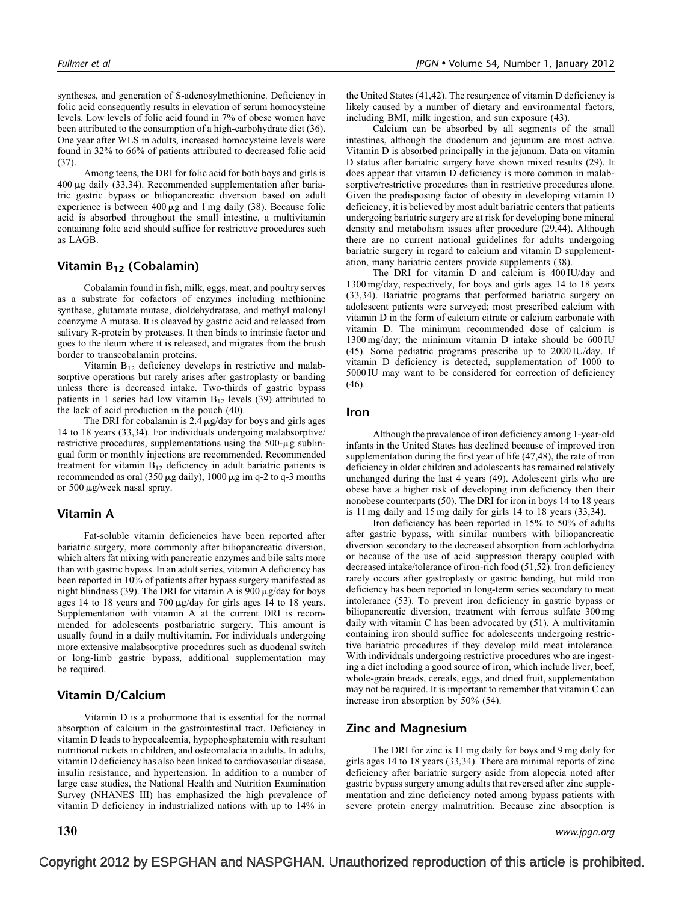syntheses, and generation of S-adenosylmethionine. Deficiency in folic acid consequently results in elevation of serum homocysteine levels. Low levels of folic acid found in 7% of obese women have been attributed to the consumption of a high-carbohydrate diet [\(36\).](#page-9-0) One year after WLS in adults, increased homocysteine levels were found in 32% to 66% of patients attributed to decreased folic acid [\(37\)](#page-9-0).

Among teens, the DRI for folic acid for both boys and girls is  $400 \,\mu$ g daily [\(33,34\).](#page-9-0) Recommended supplementation after bariatric gastric bypass or biliopancreatic diversion based on adult experience is between  $400 \mu$ g and 1 mg daily [\(38\)](#page-9-0). Because folic acid is absorbed throughout the small intestine, a multivitamin containing folic acid should suffice for restrictive procedures such as LAGB.

#### Vitamin B12 (Cobalamin)

Cobalamin found in fish, milk, eggs, meat, and poultry serves as a substrate for cofactors of enzymes including methionine synthase, glutamate mutase, dioldehydratase, and methyl malonyl coenzyme A mutase. It is cleaved by gastric acid and released from salivary R-protein by proteases. It then binds to intrinsic factor and goes to the ileum where it is released, and migrates from the brush border to transcobalamin proteins.

Vitamin  $B_{12}$  deficiency develops in restrictive and malabsorptive operations but rarely arises after gastroplasty or banding unless there is decreased intake. Two-thirds of gastric bypass patients in 1 series had low vitamin  $B_{12}$  levels [\(39\)](#page-9-0) attributed to the lack of acid production in the pouch [\(40\)](#page-9-0).

The DRI for cobalamin is 2.4  $\mu$ g/day for boys and girls ages 14 to 18 years [\(33,34\)](#page-9-0). For individuals undergoing malabsorptive/ restrictive procedures, supplementations using the  $500$ - $\mu$ g sublingual form or monthly injections are recommended. Recommended treatment for vitamin  $B_{12}$  deficiency in adult bariatric patients is recommended as oral (350  $\mu$ g daily), 1000  $\mu$ g im q-2 to q-3 months or  $500 \mu g$ /week nasal spray.

#### Vitamin A

Fat-soluble vitamin deficiencies have been reported after bariatric surgery, more commonly after biliopancreatic diversion, which alters fat mixing with pancreatic enzymes and bile salts more than with gastric bypass. In an adult series, vitamin A deficiency has been reported in 10% of patients after bypass surgery manifested as night blindness [\(39\).](#page-9-0) The DRI for vitamin A is 900  $\mu$ g/day for boys ages 14 to 18 years and 700  $\mu$ g/day for girls ages 14 to 18 years. Supplementation with vitamin A at the current DRI is recommended for adolescents postbariatric surgery. This amount is usually found in a daily multivitamin. For individuals undergoing more extensive malabsorptive procedures such as duodenal switch or long-limb gastric bypass, additional supplementation may be required.

#### Vitamin D/Calcium

Vitamin D is a prohormone that is essential for the normal absorption of calcium in the gastrointestinal tract. Deficiency in vitamin D leads to hypocalcemia, hypophosphatemia with resultant nutritional rickets in children, and osteomalacia in adults. In adults, vitamin D deficiency has also been linked to cardiovascular disease, insulin resistance, and hypertension. In addition to a number of large case studies, the National Health and Nutrition Examination Survey (NHANES III) has emphasized the high prevalence of vitamin D deficiency in industrialized nations with up to 14% in

the United States [\(41,42\).](#page-9-0) The resurgence of vitamin D deficiency is likely caused by a number of dietary and environmental factors, including BMI, milk ingestion, and sun exposure [\(43\)](#page-9-0).

Calcium can be absorbed by all segments of the small intestines, although the duodenum and jejunum are most active. Vitamin D is absorbed principally in the jejunum. Data on vitamin D status after bariatric surgery have shown mixed results [\(29\).](#page-9-0) It does appear that vitamin D deficiency is more common in malabsorptive/restrictive procedures than in restrictive procedures alone. Given the predisposing factor of obesity in developing vitamin D deficiency, it is believed by most adult bariatric centers that patients undergoing bariatric surgery are at risk for developing bone mineral density and metabolism issues after procedure [\(29,44\).](#page-9-0) Although there are no current national guidelines for adults undergoing bariatric surgery in regard to calcium and vitamin D supplementation, many bariatric centers provide supplements [\(38\).](#page-9-0)

The DRI for vitamin D and calcium is 400 IU/day and 1300 mg/day, respectively, for boys and girls ages 14 to 18 years [\(33,34\).](#page-9-0) Bariatric programs that performed bariatric surgery on adolescent patients were surveyed; most prescribed calcium with vitamin D in the form of calcium citrate or calcium carbonate with vitamin D. The minimum recommended dose of calcium is 1300 mg/day; the minimum vitamin D intake should be 600 IU [\(45\)](#page-9-0). Some pediatric programs prescribe up to 2000 IU/day. If vitamin D deficiency is detected, supplementation of 1000 to 5000 IU may want to be considered for correction of deficiency [\(46\)](#page-9-0).

#### Iron

Although the prevalence of iron deficiency among 1-year-old infants in the United States has declined because of improved iron supplementation during the first year of life [\(47,48\)](#page-9-0), the rate of iron deficiency in older children and adolescents has remained relatively unchanged during the last 4 years [\(49\).](#page-9-0) Adolescent girls who are obese have a higher risk of developing iron deficiency then their nonobese counterparts [\(50\).](#page-9-0) The DRI for iron in boys 14 to 18 years is 11 mg daily and 15 mg daily for girls 14 to 18 years [\(33,34\).](#page-9-0)

Iron deficiency has been reported in 15% to 50% of adults after gastric bypass, with similar numbers with biliopancreatic diversion secondary to the decreased absorption from achlorhydria or because of the use of acid suppression therapy coupled with decreased intake/tolerance of iron-rich food [\(51,52\)](#page-9-0). Iron deficiency rarely occurs after gastroplasty or gastric banding, but mild iron deficiency has been reported in long-term series secondary to meat intolerance [\(53\)](#page-9-0). To prevent iron deficiency in gastric bypass or biliopancreatic diversion, treatment with ferrous sulfate 300 mg daily with vitamin C has been advocated by [\(51\)](#page-9-0). A multivitamin containing iron should suffice for adolescents undergoing restrictive bariatric procedures if they develop mild meat intolerance. With individuals undergoing restrictive procedures who are ingesting a diet including a good source of iron, which include liver, beef, whole-grain breads, cereals, eggs, and dried fruit, supplementation may not be required. It is important to remember that vitamin C can increase iron absorption by 50% [\(54\).](#page-9-0)

#### Zinc and Magnesium

The DRI for zinc is 11 mg daily for boys and 9 mg daily for girls ages 14 to 18 years [\(33,34\)](#page-9-0). There are minimal reports of zinc deficiency after bariatric surgery aside from alopecia noted after gastric bypass surgery among adults that reversed after zinc supplementation and zinc deficiency noted among bypass patients with severe protein energy malnutrition. Because zinc absorption is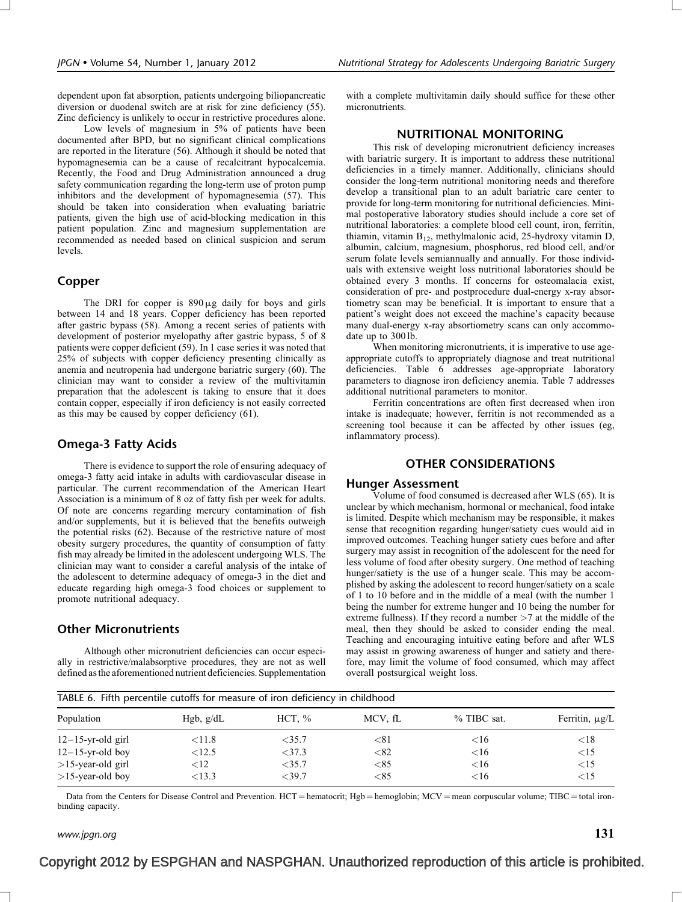dependent upon fat absorption, patients undergoing biliopancreatic diversion or duodenal switch are at risk for zinc deficiency [\(55\).](#page-9-0) Zinc deficiency is unlikely to occur in restrictive procedures alone.

Low levels of magnesium in 5% of patients have been documented after BPD, but no significant clinical complications are reported in the literature [\(56\)](#page-9-0). Although it should be noted that hypomagnesemia can be a cause of recalcitrant hypocalcemia. Recently, the Food and Drug Administration announced a drug safety communication regarding the long-term use of proton pump inhibitors and the development of hypomagnesemia [\(57\)](#page-9-0). This should be taken into consideration when evaluating bariatric patients, given the high use of acid-blocking medication in this patient population. Zinc and magnesium supplementation are recommended as needed based on clinical suspicion and serum levels.

### Copper

The DRI for copper is  $890 \mu$ g daily for boys and girls between 14 and 18 years. Copper deficiency has been reported after gastric bypass [\(58\)](#page-9-0). Among a recent series of patients with development of posterior myelopathy after gastric bypass, 5 of 8 patients were copper deficient [\(59\).](#page-10-0) In 1 case series it was noted that 25% of subjects with copper deficiency presenting clinically as anemia and neutropenia had undergone bariatric surgery [\(60\)](#page-10-0). The clinician may want to consider a review of the multivitamin preparation that the adolescent is taking to ensure that it does contain copper, especially if iron deficiency is not easily corrected as this may be caused by copper deficiency [\(61\).](#page-10-0)

#### Omega-3 Fatty Acids

There is evidence to support the role of ensuring adequacy of omega-3 fatty acid intake in adults with cardiovascular disease in particular. The current recommendation of the American Heart Association is a minimum of 8 oz of fatty fish per week for adults. Of note are concerns regarding mercury contamination of fish and/or supplements, but it is believed that the benefits outweigh the potential risks [\(62\)](#page-10-0). Because of the restrictive nature of most obesity surgery procedures, the quantity of consumption of fatty fish may already be limited in the adolescent undergoing WLS. The clinician may want to consider a careful analysis of the intake of the adolescent to determine adequacy of omega-3 in the diet and educate regarding high omega-3 food choices or supplement to promote nutritional adequacy.

#### Other Micronutrients

Although other micronutrient deficiencies can occur especially in restrictive/malabsorptive procedures, they are not as well defined as the aforementioned nutrient deficiencies. Supplementation with a complete multivitamin daily should suffice for these other micronutrients.

#### NUTRITIONAL MONITORING

This risk of developing micronutrient deficiency increases with bariatric surgery. It is important to address these nutritional deficiencies in a timely manner. Additionally, clinicians should consider the long-term nutritional monitoring needs and therefore develop a transitional plan to an adult bariatric care center to provide for long-term monitoring for nutritional deficiencies. Minimal postoperative laboratory studies should include a core set of nutritional laboratories: a complete blood cell count, iron, ferritin, thiamin, vitamin  $B_{12}$ , methylmalonic acid, 25-hydroxy vitamin D, albumin, calcium, magnesium, phosphorus, red blood cell, and/or serum folate levels semiannually and annually. For those individuals with extensive weight loss nutritional laboratories should be obtained every 3 months. If concerns for osteomalacia exist, consideration of pre- and postprocedure dual-energy x-ray absortiometry scan may be beneficial. It is important to ensure that a patient's weight does not exceed the machine's capacity because many dual-energy x-ray absortiometry scans can only accommodate up to 300 lb.

When monitoring micronutrients, it is imperative to use ageappropriate cutoffs to appropriately diagnose and treat nutritional deficiencies. Table 6 addresses age-appropriate laboratory parameters to diagnose iron deficiency anemia. [Table 7](#page-7-0) addresses additional nutritional parameters to monitor.

Ferritin concentrations are often first decreased when iron intake is inadequate; however, ferritin is not recommended as a screening tool because it can be affected by other issues (eg, inflammatory process).

#### OTHER CONSIDERATIONS

#### Hunger Assessment

Volume of food consumed is decreased after WLS [\(65\)](#page-10-0). It is unclear by which mechanism, hormonal or mechanical, food intake is limited. Despite which mechanism may be responsible, it makes sense that recognition regarding hunger/satiety cues would aid in improved outcomes. Teaching hunger satiety cues before and after surgery may assist in recognition of the adolescent for the need for less volume of food after obesity surgery. One method of teaching hunger/satiety is the use of a hunger scale. This may be accomplished by asking the adolescent to record hunger/satiety on a scale of 1 to 10 before and in the middle of a meal (with the number 1 being the number for extreme hunger and 10 being the number for extreme fullness). If they record a number  $>7$  at the middle of the meal, then they should be asked to consider ending the meal. Teaching and encouraging intuitive eating before and after WLS may assist in growing awareness of hunger and satiety and therefore, may limit the volume of food consumed, which may affect overall postsurgical weight loss.

| TABLE 6. Fifth percentile cutoffs for measure of iron deficiency in childhood |  |
|-------------------------------------------------------------------------------|--|
|-------------------------------------------------------------------------------|--|

| Hgb, g/dL     | HCT, $\%$     | MCV, fL    | $%$ TIBC sat. | Ferritin, $\mu g/L$ |  |  |
|---------------|---------------|------------|---------------|---------------------|--|--|
| $<$ 11.8 $\,$ | $<$ 35.7 $\,$ | $< \!\!81$ | ${<}16$       | ${<}18$             |  |  |
| $<$ 12.5      | $<$ 37.3      | $< \!\!82$ | <16           | $\leq$ 15           |  |  |
| ${<}12$       | $<$ 35.7      | $<\!\!85$  | <16           | $\leq$ 15           |  |  |
| < 13.3        | $<$ 39.7      | < 85       | $<$ 16        | $\leq$ 15           |  |  |
|               |               |            |               |                     |  |  |

Data from the Centers for Disease Control and Prevention. HCT = hematocrit; Hgb = hemoglobin; MCV = mean corpuscular volume; TIBC = total ironbinding capacity.

www.jpgn.org 131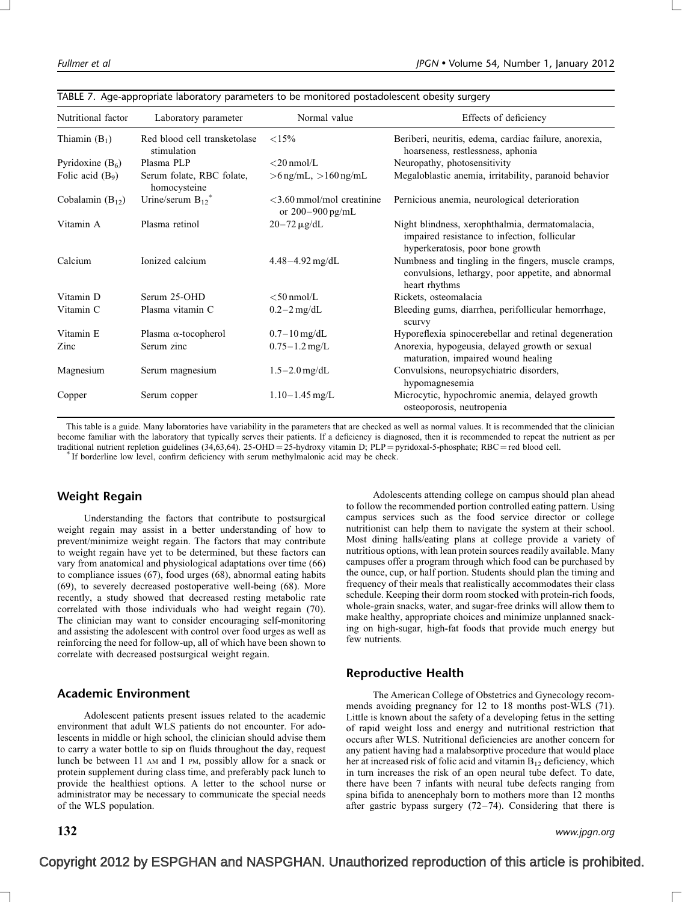| Nutritional factor   | Laboratory parameter                        | Normal value                                         | Effects of deficiency                                                                                                               |
|----------------------|---------------------------------------------|------------------------------------------------------|-------------------------------------------------------------------------------------------------------------------------------------|
| Thiamin $(B_1)$      | Red blood cell transketolase<br>stimulation | ${<}15\%$                                            | Beriberi, neuritis, edema, cardiac failure, anorexia,<br>hoarseness, restlessness, aphonia                                          |
| Pyridoxine $(B_6)$   | Plasma PLP                                  | $<$ 20 nmol/L                                        | Neuropathy, photosensitivity                                                                                                        |
| Folic acid $(B_9)$   | Serum folate, RBC folate,<br>homocysteine   | $>6$ ng/mL, $>160$ ng/mL                             | Megaloblastic anemia, irritability, paranoid behavior                                                                               |
| Cobalamin $(B_{12})$ | Urine/serum $B_{12}^*$                      | $<$ 3.60 mmol/mol creatinine<br>or $200 - 900$ pg/mL | Pernicious anemia, neurological deterioration                                                                                       |
| Vitamin A            | Plasma retinol                              | $20-72 \mu g/dL$                                     | Night blindness, xerophthalmia, dermatomalacia,<br>impaired resistance to infection, follicular<br>hyperkeratosis, poor bone growth |
| Calcium              | Ionized calcium                             | $4.48 - 4.92$ mg/dL                                  | Numbness and tingling in the fingers, muscle cramps,<br>convulsions, lethargy, poor appetite, and abnormal<br>heart rhythms         |
| Vitamin D            | Serum 25-OHD                                | $<$ 50 nmol/L                                        | Rickets, osteomalacia                                                                                                               |
| Vitamin C            | Plasma vitamin C                            | $0.2 - 2$ mg/dL                                      | Bleeding gums, diarrhea, perifollicular hemorrhage,<br>scurvy                                                                       |
| Vitamin E            | Plasma α-tocopherol                         | $0.7 - 10$ mg/dL                                     | Hyporeflexia spinocerebellar and retinal degeneration                                                                               |
| Zinc                 | Serum zinc                                  | $0.75 - 1.2$ mg/L                                    | Anorexia, hypogeusia, delayed growth or sexual<br>maturation, impaired wound healing                                                |
| Magnesium            | Serum magnesium                             | $1.5 - 2.0$ mg/dL                                    | Convulsions, neuropsychiatric disorders,<br>hypomagnesemia                                                                          |
| Copper               | Serum copper                                | $1.10 - 1.45$ mg/L                                   | Microcytic, hypochromic anemia, delayed growth<br>osteoporosis, neutropenia                                                         |

<span id="page-7-0"></span>

| TABLE 7. Age-appropriate laboratory parameters to be monitored postadolescent obesity surgery |  |  |  |  |  |  |  |  |  |  |  |
|-----------------------------------------------------------------------------------------------|--|--|--|--|--|--|--|--|--|--|--|
|-----------------------------------------------------------------------------------------------|--|--|--|--|--|--|--|--|--|--|--|

This table is a guide. Many laboratories have variability in the parameters that are checked as well as normal values. It is recommended that the clinician become familiar with the laboratory that typically serves their patients. If a deficiency is diagnosed, then it is recommended to repeat the nutrient as per traditional nutrient repletion guidelines [\(34,63,64\).](#page-9-0) 25-OHD = 25-hydroxy vitamin D; PLP = pyridoxal-5-phosphate; RBC = red blood cell. <sup>\*</sup> If borderline low level, confirm deficiency with serum methylmalonic acid may be

#### Weight Regain

Understanding the factors that contribute to postsurgical weight regain may assist in a better understanding of how to prevent/minimize weight regain. The factors that may contribute to weight regain have yet to be determined, but these factors can vary from anatomical and physiological adaptations over time [\(66\)](#page-10-0) to compliance issues [\(67\),](#page-10-0) food urges [\(68\),](#page-10-0) abnormal eating habits [\(69\)](#page-10-0), to severely decreased postoperative well-being [\(68\)](#page-10-0). More recently, a study showed that decreased resting metabolic rate correlated with those individuals who had weight regain [\(70\).](#page-10-0) The clinician may want to consider encouraging self-monitoring and assisting the adolescent with control over food urges as well as reinforcing the need for follow-up, all of which have been shown to correlate with decreased postsurgical weight regain.

#### Academic Environment

Adolescent patients present issues related to the academic environment that adult WLS patients do not encounter. For adolescents in middle or high school, the clinician should advise them to carry a water bottle to sip on fluids throughout the day, request lunch be between 11 AM and 1 PM, possibly allow for a snack or protein supplement during class time, and preferably pack lunch to provide the healthiest options. A letter to the school nurse or administrator may be necessary to communicate the special needs of the WLS population.

Adolescents attending college on campus should plan ahead to follow the recommended portion controlled eating pattern. Using campus services such as the food service director or college nutritionist can help them to navigate the system at their school. Most dining halls/eating plans at college provide a variety of nutritious options, with lean protein sources readily available. Many campuses offer a program through which food can be purchased by the ounce, cup, or half portion. Students should plan the timing and frequency of their meals that realistically accommodates their class schedule. Keeping their dorm room stocked with protein-rich foods, whole-grain snacks, water, and sugar-free drinks will allow them to make healthy, appropriate choices and minimize unplanned snacking on high-sugar, high-fat foods that provide much energy but few nutrients.

#### Reproductive Health

The American College of Obstetrics and Gynecology recommends avoiding pregnancy for 12 to 18 months post-WLS [\(71\)](#page-10-0). Little is known about the safety of a developing fetus in the setting of rapid weight loss and energy and nutritional restriction that occurs after WLS. Nutritional deficiencies are another concern for any patient having had a malabsorptive procedure that would place her at increased risk of folic acid and vitamin  $B_{12}$  deficiency, which in turn increases the risk of an open neural tube defect. To date, there have been 7 infants with neural tube defects ranging from spina bifida to anencephaly born to mothers more than 12 months after gastric bypass surgery  $(72-74)$ . Considering that there is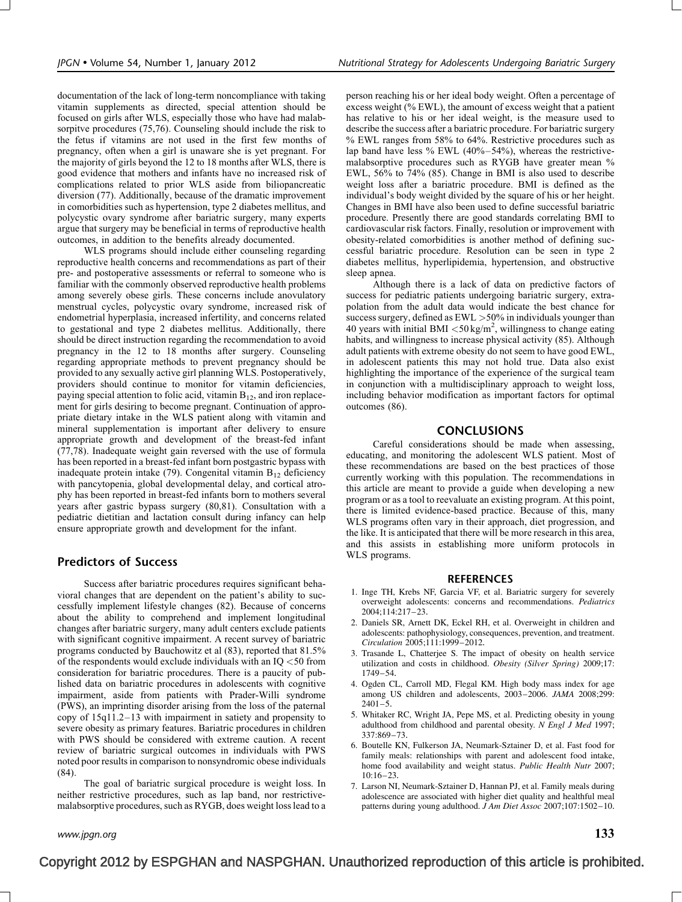<span id="page-8-0"></span>documentation of the lack of long-term noncompliance with taking vitamin supplements as directed, special attention should be focused on girls after WLS, especially those who have had malabsorpitve procedures [\(75,76\).](#page-10-0) Counseling should include the risk to the fetus if vitamins are not used in the first few months of pregnancy, often when a girl is unaware she is yet pregnant. For the majority of girls beyond the 12 to 18 months after WLS, there is good evidence that mothers and infants have no increased risk of complications related to prior WLS aside from biliopancreatic diversion [\(77\).](#page-10-0) Additionally, because of the dramatic improvement in comorbidities such as hypertension, type 2 diabetes mellitus, and polycystic ovary syndrome after bariatric surgery, many experts argue that surgery may be beneficial in terms of reproductive health outcomes, in addition to the benefits already documented.

WLS programs should include either counseling regarding reproductive health concerns and recommendations as part of their pre- and postoperative assessments or referral to someone who is familiar with the commonly observed reproductive health problems among severely obese girls. These concerns include anovulatory menstrual cycles, polycystic ovary syndrome, increased risk of endometrial hyperplasia, increased infertility, and concerns related to gestational and type 2 diabetes mellitus. Additionally, there should be direct instruction regarding the recommendation to avoid pregnancy in the 12 to 18 months after surgery. Counseling regarding appropriate methods to prevent pregnancy should be provided to any sexually active girl planning WLS. Postoperatively, providers should continue to monitor for vitamin deficiencies, paying special attention to folic acid, vitamin  $B_{12}$ , and iron replacement for girls desiring to become pregnant. Continuation of appropriate dietary intake in the WLS patient along with vitamin and mineral supplementation is important after delivery to ensure appropriate growth and development of the breast-fed infant [\(77,78\)](#page-10-0). Inadequate weight gain reversed with the use of formula has been reported in a breast-fed infant born postgastric bypass with inadequate protein intake [\(79\)](#page-10-0). Congenital vitamin  $B_{12}$  deficiency with pancytopenia, global developmental delay, and cortical atrophy has been reported in breast-fed infants born to mothers several years after gastric bypass surgery [\(80,81\)](#page-10-0). Consultation with a pediatric dietitian and lactation consult during infancy can help ensure appropriate growth and development for the infant.

#### Predictors of Success

Success after bariatric procedures requires significant behavioral changes that are dependent on the patient's ability to successfully implement lifestyle changes [\(82\)](#page-10-0). Because of concerns about the ability to comprehend and implement longitudinal changes after bariatric surgery, many adult centers exclude patients with significant cognitive impairment. A recent survey of bariatric programs conducted by Bauchowitz et al [\(83\)](#page-10-0), reported that 81.5% of the respondents would exclude individuals with an  $IQ < 50$  from consideration for bariatric procedures. There is a paucity of published data on bariatric procedures in adolescents with cognitive impairment, aside from patients with Prader-Willi syndrome (PWS), an imprinting disorder arising from the loss of the paternal copy of 15q11.2–13 with impairment in satiety and propensity to severe obesity as primary features. Bariatric procedures in children with PWS should be considered with extreme caution. A recent review of bariatric surgical outcomes in individuals with PWS noted poor results in comparison to nonsyndromic obese individuals [\(84\)](#page-10-0).

The goal of bariatric surgical procedure is weight loss. In neither restrictive procedures, such as lap band, nor restrictivemalabsorptive procedures, such as RYGB, does weight loss lead to a

person reaching his or her ideal body weight. Often a percentage of excess weight (% EWL), the amount of excess weight that a patient has relative to his or her ideal weight, is the measure used to describe the success after a bariatric procedure. For bariatric surgery % EWL ranges from 58% to 64%. Restrictive procedures such as lap band have less % EWL (40%–54%), whereas the restrictivemalabsorptive procedures such as RYGB have greater mean % EWL, 56% to 74% [\(85\)](#page-10-0). Change in BMI is also used to describe weight loss after a bariatric procedure. BMI is defined as the individual's body weight divided by the square of his or her height. Changes in BMI have also been used to define successful bariatric procedure. Presently there are good standards correlating BMI to cardiovascular risk factors. Finally, resolution or improvement with obesity-related comorbidities is another method of defining successful bariatric procedure. Resolution can be seen in type 2 diabetes mellitus, hyperlipidemia, hypertension, and obstructive sleep apnea.

Although there is a lack of data on predictive factors of success for pediatric patients undergoing bariatric surgery, extrapolation from the adult data would indicate the best chance for success surgery, defined as  $EWL > 50\%$  in individuals younger than 40 years with initial BMI  $<$  50 kg/m<sup>2</sup>, willingness to change eating habits, and willingness to increase physical activity [\(85\).](#page-10-0) Although adult patients with extreme obesity do not seem to have good EWL, in adolescent patients this may not hold true. Data also exist highlighting the importance of the experience of the surgical team in conjunction with a multidisciplinary approach to weight loss, including behavior modification as important factors for optimal outcomes [\(86\).](#page-10-0)

#### **CONCLUSIONS**

Careful considerations should be made when assessing, educating, and monitoring the adolescent WLS patient. Most of these recommendations are based on the best practices of those currently working with this population. The recommendations in this article are meant to provide a guide when developing a new program or as a tool to reevaluate an existing program. At this point, there is limited evidence-based practice. Because of this, many WLS programs often vary in their approach, diet progression, and the like. It is anticipated that there will be more research in this area, and this assists in establishing more uniform protocols in WLS programs.

#### REFERENCES

- 1. Inge TH, Krebs NF, Garcia VF, et al. Bariatric surgery for severely overweight adolescents: concerns and recommendations. Pediatrics 2004;114:217–23.
- 2. Daniels SR, Arnett DK, Eckel RH, et al. Overweight in children and adolescents: pathophysiology, consequences, prevention, and treatment. Circulation 2005;111:1999–2012.
- 3. Trasande L, Chatterjee S. The impact of obesity on health service utilization and costs in childhood. Obesity (Silver Spring) 2009;17: 1749–54.
- 4. Ogden CL, Carroll MD, Flegal KM. High body mass index for age among US children and adolescents, 2003–2006. JAMA 2008;299:  $2401 - 5$ .
- 5. Whitaker RC, Wright JA, Pepe MS, et al. Predicting obesity in young adulthood from childhood and parental obesity. N Engl J Med 1997; 337:869–73.
- 6. Boutelle KN, Fulkerson JA, Neumark-Sztainer D, et al. Fast food for family meals: relationships with parent and adolescent food intake, home food availability and weight status. Public Health Nutr 2007; 10:16–23.
- 7. Larson NI, Neumark-Sztainer D, Hannan PJ, et al. Family meals during adolescence are associated with higher diet quality and healthful meal patterns during young adulthood. J Am Diet Assoc 2007;107:1502–10.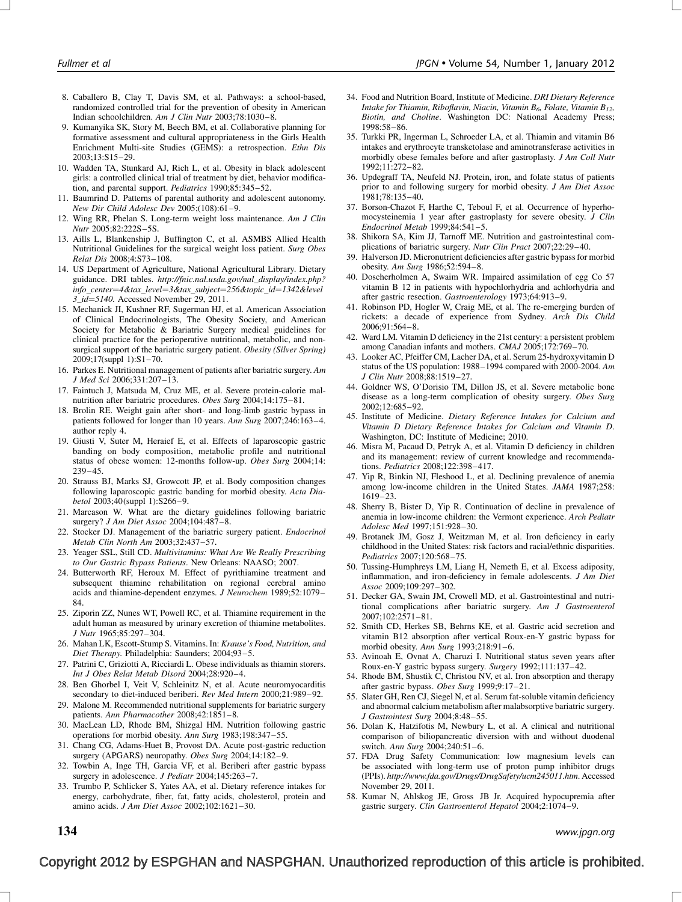- <span id="page-9-0"></span>8. Caballero B, Clay T, Davis SM, et al. Pathways: a school-based, randomized controlled trial for the prevention of obesity in American Indian schoolchildren. Am J Clin Nutr 2003;78:1030–8.
- 9. Kumanyika SK, Story M, Beech BM, et al. Collaborative planning for formative assessment and cultural appropriateness in the Girls Health Enrichment Multi-site Studies (GEMS): a retrospection. Ethn Dis 2003;13:S15–29.
- 10. Wadden TA, Stunkard AJ, Rich L, et al. Obesity in black adolescent girls: a controlled clinical trial of treatment by diet, behavior modification, and parental support. Pediatrics 1990;85:345–52.
- 11. Baumrind D. Patterns of parental authority and adolescent autonomy. New Dir Child Adolesc Dev 2005;(108):61–9.
- 12. Wing RR, Phelan S. Long-term weight loss maintenance. Am J Clin Nutr 2005;82:222S–5S.
- 13. Aills L, Blankenship J, Buffington C, et al. ASMBS Allied Health Nutritional Guidelines for the surgical weight loss patient. Surg Obes Relat Dis 2008;4:S73–108.
- 14. US Department of Agriculture, National Agricultural Library. Dietary guidance. DRI tables. http://fnic.nal.usda.gov/nal\_display/index.php?  $info\_center=4\&tax\_level=3\&tax\_subject=256\&topic\_id=1342\&level$  $3_id=5140$ . Accessed November 29, 2011.
- 15. Mechanick JI, Kushner RF, Sugerman HJ, et al. American Association of Clinical Endocrinologists, The Obesity Society, and American Society for Metabolic & Bariatric Surgery medical guidelines for clinical practice for the perioperative nutritional, metabolic, and nonsurgical support of the bariatric surgery patient. Obesity (Silver Spring) 2009;17(suppl 1):S1–70.
- 16. Parkes E. Nutritional management of patients after bariatric surgery. Am J Med Sci 2006;331:207–13.
- 17. Faintuch J, Matsuda M, Cruz ME, et al. Severe protein-calorie malnutrition after bariatric procedures. Obes Surg 2004;14:175–81.
- 18. Brolin RE. Weight gain after short- and long-limb gastric bypass in patients followed for longer than 10 years. Ann Surg 2007;246:163–4. author reply 4.
- 19. Giusti V, Suter M, Heraief E, et al. Effects of laparoscopic gastric banding on body composition, metabolic profile and nutritional status of obese women: 12-months follow-up. Obes Surg 2004;14: 239–45.
- 20. Strauss BJ, Marks SJ, Growcott JP, et al. Body composition changes following laparoscopic gastric banding for morbid obesity. Acta Diabetol 2003;40(suppl 1):S266–9.
- 21. Marcason W. What are the dietary guidelines following bariatric surgery? J Am Diet Assoc 2004;104:487–8.
- 22. Stocker DJ. Management of the bariatric surgery patient. Endocrinol Metab Clin North Am 2003;32:437–57.
- 23. Yeager SSL, Still CD. Multivitamins: What Are We Really Prescribing to Our Gastric Bypass Patients. New Orleans: NAASO; 2007.
- 24. Butterworth RF, Heroux M. Effect of pyrithiamine treatment and subsequent thiamine rehabilitation on regional cerebral amino acids and thiamine-dependent enzymes. J Neurochem 1989;52:1079– 84.
- 25. Ziporin ZZ, Nunes WT, Powell RC, et al. Thiamine requirement in the adult human as measured by urinary excretion of thiamine metabolites. J Nutr 1965;85:297–304.
- 26. Mahan LK, Escott-Stump S. Vitamins. In: Krause's Food, Nutrition, and Diet Therapy. Philadelphia: Saunders; 2004;93–5.
- 27. Patrini C, Griziotti A, Ricciardi L. Obese individuals as thiamin storers. Int J Obes Relat Metab Disord 2004;28:920–4.
- 28. Ben Ghorbel I, Veit V, Schleinitz N, et al. Acute neuromyocarditis secondary to diet-induced beriberi. Rev Med Intern 2000;21:989–92.
- 29. Malone M. Recommended nutritional supplements for bariatric surgery patients. Ann Pharmacother 2008;42:1851–8.
- 30. MacLean LD, Rhode BM, Shizgal HM. Nutrition following gastric operations for morbid obesity. Ann Surg 1983;198:347–55.
- 31. Chang CG, Adams-Huet B, Provost DA. Acute post-gastric reduction surgery (APGARS) neuropathy. Obes Surg 2004;14:182-9.
- 32. Towbin A, Inge TH, Garcia VF, et al. Beriberi after gastric bypass surgery in adolescence. *J Pediatr* 2004;145:263-7.
- 33. Trumbo P, Schlicker S, Yates AA, et al. Dietary reference intakes for energy, carbohydrate, fiber, fat, fatty acids, cholesterol, protein and amino acids. J Am Diet Assoc 2002;102:1621–30.
- 34. Food and Nutrition Board, Institute of Medicine. DRI Dietary Reference Intake for Thiamin, Riboflavin, Niacin, Vitamin  $B_6$ , Folate, Vitamin  $B_{12}$ , Biotin, and Choline. Washington DC: National Academy Press; 1998:58–86.
- 35. Turkki PR, Ingerman L, Schroeder LA, et al. Thiamin and vitamin B6 intakes and erythrocyte transketolase and aminotransferase activities in morbidly obese females before and after gastroplasty. J Am Coll Nutr 1992;11:272–82.
- 36. Updegraff TA, Neufeld NJ. Protein, iron, and folate status of patients prior to and following surgery for morbid obesity. J Am Diet Assoc 1981;78:135–40.
- 37. Borson-Chazot F, Harthe C, Teboul F, et al. Occurrence of hyperhomocysteinemia 1 year after gastroplasty for severe obesity. J Clin Endocrinol Metab 1999;84:541–5.
- 38. Shikora SA, Kim JJ, Tarnoff ME. Nutrition and gastrointestinal complications of bariatric surgery. Nutr Clin Pract 2007;22:29–40.
- 39. Halverson JD. Micronutrient deficiencies after gastric bypass for morbid obesity. Am Surg 1986;52:594–8.
- 40. Doscherholmen A, Swaim WR. Impaired assimilation of egg Co 57 vitamin B 12 in patients with hypochlorhydria and achlorhydria and after gastric resection. Gastroenterology 1973;64:913–9.
- 41. Robinson PD, Hogler W, Craig ME, et al. The re-emerging burden of rickets: a decade of experience from Sydney. Arch Dis Child 2006;91:564–8.
- 42. Ward LM. Vitamin D deficiency in the 21st century: a persistent problem among Canadian infants and mothers. CMAJ 2005;172:769–70.
- 43. Looker AC, Pfeiffer CM, Lacher DA, et al. Serum 25-hydroxyvitamin D status of the US population: 1988–1994 compared with 2000-2004. Am J Clin Nutr 2008;88:1519–27.
- 44. Goldner WS, O'Dorisio TM, Dillon JS, et al. Severe metabolic bone disease as a long-term complication of obesity surgery. Obes Surg 2002;12:685–92.
- 45. Institute of Medicine. Dietary Reference Intakes for Calcium and Vitamin D Dietary Reference Intakes for Calcium and Vitamin D. Washington, DC: Institute of Medicine; 2010.
- 46. Misra M, Pacaud D, Petryk A, et al. Vitamin D deficiency in children and its management: review of current knowledge and recommendations. Pediatrics 2008;122:398–417.
- 47. Yip R, Binkin NJ, Fleshood L, et al. Declining prevalence of anemia among low-income children in the United States. JAMA 1987;258: 1619–23.
- 48. Sherry B, Bister D, Yip R. Continuation of decline in prevalence of anemia in low-income children: the Vermont experience. Arch Pediatr Adolesc Med 1997;151:928–30.
- 49. Brotanek JM, Gosz J, Weitzman M, et al. Iron deficiency in early childhood in the United States: risk factors and racial/ethnic disparities. Pediatrics 2007;120:568–75.
- 50. Tussing-Humphreys LM, Liang H, Nemeth E, et al. Excess adiposity, inflammation, and iron-deficiency in female adolescents. J Am Diet Assoc 2009;109:297–302.
- 51. Decker GA, Swain JM, Crowell MD, et al. Gastrointestinal and nutritional complications after bariatric surgery. Am J Gastroenterol 2007;102:2571–81.
- 52. Smith CD, Herkes SB, Behrns KE, et al. Gastric acid secretion and vitamin B12 absorption after vertical Roux-en-Y gastric bypass for morbid obesity. Ann Surg 1993;218:91–6.
- 53. Avinoah E, Ovnat A, Charuzi I. Nutritional status seven years after Roux-en-Y gastric bypass surgery. Surgery 1992;111:137–42.
- 54. Rhode BM, Shustik C, Christou NV, et al. Iron absorption and therapy after gastric bypass. Obes Surg 1999;9:17–21.
- 55. Slater GH, Ren CJ, Siegel N, et al. Serum fat-soluble vitamin deficiency and abnormal calcium metabolism after malabsorptive bariatric surgery. J Gastrointest Surg 2004;8:48–55.
- 56. Dolan K, Hatzifotis M, Newbury L, et al. A clinical and nutritional comparison of biliopancreatic diversion with and without duodenal switch. Ann Surg 2004;240:51–6.
- 57. FDA Drug Safety Communication: low magnesium levels can be associated with long-term use of proton pump inhibitor drugs (PPIs). http://www.fda.gov/Drugs/DrugSafety/ucm245011.htm. Accessed November 29, 2011.
- 58. Kumar N, Ahlskog JE, Gross JB Jr. Acquired hypocupremia after gastric surgery. Clin Gastroenterol Hepatol 2004;2:1074–9.

 $134$  www.jpgn.org www.jpgn.org www.jpgn.org www.jpgn.org  $\,$